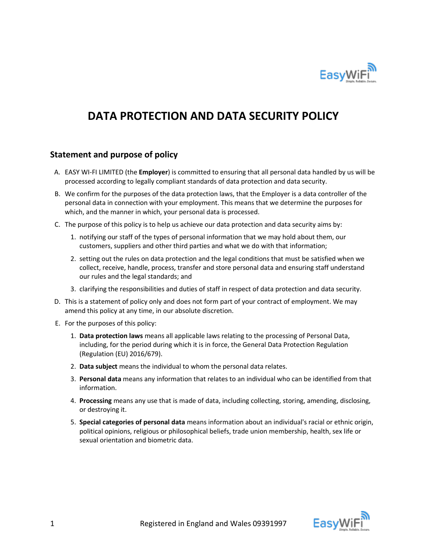

# **DATA PROTECTION AND DATA SECURITY POLICY**

## **Statement and purpose of policy**

- A. EASY WI-FI LIMITED (the **Employer**) is committed to ensuring that all personal data handled by us will be processed according to legally compliant standards of data protection and data security.
- B. We confirm for the purposes of the data protection laws, that the Employer is a data controller of the personal data in connection with your employment. This means that we determine the purposes for which, and the manner in which, your personal data is processed.
- C. The purpose of this policy is to help us achieve our data protection and data security aims by:
	- 1. notifying our staff of the types of personal information that we may hold about them, our customers, suppliers and other third parties and what we do with that information;
	- 2. setting out the rules on data protection and the legal conditions that must be satisfied when we collect, receive, handle, process, transfer and store personal data and ensuring staff understand our rules and the legal standards; and
	- 3. clarifying the responsibilities and duties of staff in respect of data protection and data security.
- D. This is a statement of policy only and does not form part of your contract of employment. We may amend this policy at any time, in our absolute discretion.
- E. For the purposes of this policy:
	- 1. **Data protection laws** means all applicable laws relating to the processing of Personal Data, including, for the period during which it is in force, the General Data Protection Regulation (Regulation (EU) 2016/679).
	- 2. **Data subject** means the individual to whom the personal data relates.
	- 3. **Personal data** means any information that relates to an individual who can be identified from that information.
	- 4. **Processing** means any use that is made of data, including collecting, storing, amending, disclosing, or destroying it.
	- 5. **Special categories of personal data** means information about an individual's racial or ethnic origin, political opinions, religious or philosophical beliefs, trade union membership, health, sex life or sexual orientation and biometric data.

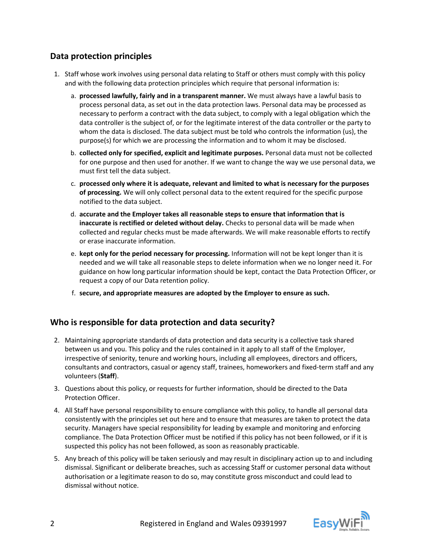# **Data protection principles**

- 1. Staff whose work involves using personal data relating to Staff or others must comply with this policy and with the following data protection principles which require that personal information is:
	- a. **processed lawfully, fairly and in a transparent manner.** We must always have a lawful basis to process personal data, as set out in the data protection laws. Personal data may be processed as necessary to perform a contract with the data subject, to comply with a legal obligation which the data controller is the subject of, or for the legitimate interest of the data controller or the party to whom the data is disclosed. The data subject must be told who controls the information (us), the purpose(s) for which we are processing the information and to whom it may be disclosed.
	- b. **collected only for specified, explicit and legitimate purposes.** Personal data must not be collected for one purpose and then used for another. If we want to change the way we use personal data, we must first tell the data subject.
	- c. **processed only where it is adequate, relevant and limited to what is necessary for the purposes of processing.** We will only collect personal data to the extent required for the specific purpose notified to the data subject.
	- d. **accurate and the Employer takes all reasonable steps to ensure that information that is inaccurate is rectified or deleted without delay.** Checks to personal data will be made when collected and regular checks must be made afterwards. We will make reasonable efforts to rectify or erase inaccurate information.
	- e. **kept only for the period necessary for processing.** Information will not be kept longer than it is needed and we will take all reasonable steps to delete information when we no longer need it. For guidance on how long particular information should be kept, contact the Data Protection Officer, or request a copy of our Data retention policy.
	- f. **secure, and appropriate measures are adopted by the Employer to ensure as such.**

## **Who is responsible for data protection and data security?**

- 2. Maintaining appropriate standards of data protection and data security is a collective task shared between us and you. This policy and the rules contained in it apply to all staff of the Employer, irrespective of seniority, tenure and working hours, including all employees, directors and officers, consultants and contractors, casual or agency staff, trainees, homeworkers and fixed-term staff and any volunteers (**Staff**).
- 3. Questions about this policy, or requests for further information, should be directed to the Data Protection Officer.
- 4. All Staff have personal responsibility to ensure compliance with this policy, to handle all personal data consistently with the principles set out here and to ensure that measures are taken to protect the data security. Managers have special responsibility for leading by example and monitoring and enforcing compliance. The Data Protection Officer must be notified if this policy has not been followed, or if it is suspected this policy has not been followed, as soon as reasonably practicable.
- 5. Any breach of this policy will be taken seriously and may result in disciplinary action up to and including dismissal. Significant or deliberate breaches, such as accessing Staff or customer personal data without authorisation or a legitimate reason to do so, may constitute gross misconduct and could lead to dismissal without notice.

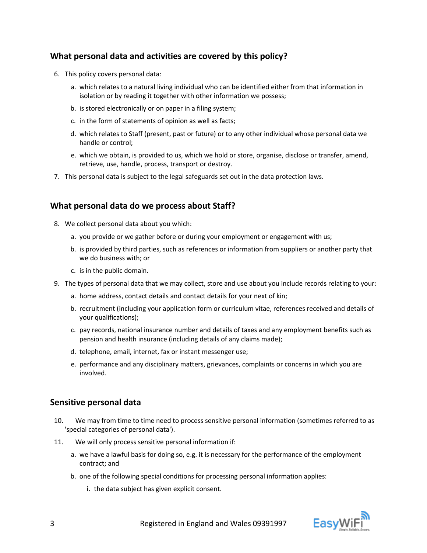## **What personal data and activities are covered by this policy?**

- 6. This policy covers personal data:
	- a. which relates to a natural living individual who can be identified either from that information in isolation or by reading it together with other information we possess;
	- b. is stored electronically or on paper in a filing system;
	- c. in the form of statements of opinion as well as facts;
	- d. which relates to Staff (present, past or future) or to any other individual whose personal data we handle or control;
	- e. which we obtain, is provided to us, which we hold or store, organise, disclose or transfer, amend, retrieve, use, handle, process, transport or destroy.
- 7. This personal data is subject to the legal safeguards set out in the data protection laws.

## **What personal data do we process about Staff?**

- 8. We collect personal data about you which:
	- a. you provide or we gather before or during your employment or engagement with us;
	- b. is provided by third parties, such as references or information from suppliers or another party that we do business with; or
	- c. is in the public domain.
- 9. The types of personal data that we may collect, store and use about you include records relating to your:
	- a. home address, contact details and contact details for your next of kin;
	- b. recruitment (including your application form or curriculum vitae, references received and details of your qualifications);
	- c. pay records, national insurance number and details of taxes and any employment benefits such as pension and health insurance (including details of any claims made);
	- d. telephone, email, internet, fax or instant messenger use;
	- e. performance and any disciplinary matters, grievances, complaints or concerns in which you are involved.

## **Sensitive personal data**

- 10. We may from time to time need to process sensitive personal information (sometimes referred to as 'special categories of personal data').
- 11. We will only process sensitive personal information if:
	- a. we have a lawful basis for doing so, e.g. it is necessary for the performance of the employment contract; and
	- b. one of the following special conditions for processing personal information applies:
		- i. the data subject has given explicit consent.

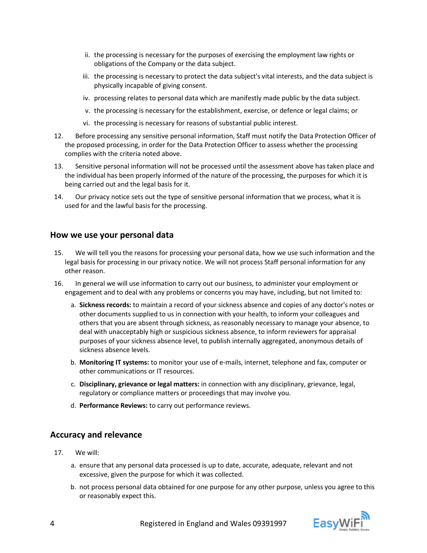- ii. the processing is necessary for the purposes of exercising the employment law rights or obligations of the Company or the data subject.
- iii. the processing is necessary to protect the data subject's vital interests, and the data subject is physically incapable of giving consent.
- iv. processing relates to personal data which are manifestly made public by the data subject.
- v. the processing is necessary for the establishment, exercise, or defence or legal claims; or
- vi. the processing is necessary for reasons of substantial public interest.
- 12. Before processing any sensitive personal information, Staff must notify the Data Protection Officer of the proposed processing, in order for the Data Protection Officer to assess whether the processing complies with the criteria noted above.
- 13. Sensitive personal information will not be processed until the assessment above has taken place and the individual has been properly informed of the nature of the processing, the purposes for which it is being carried out and the legal basis for it.
- 14. Our privacy notice sets out the type of sensitive personal information that we process, what it is used for and the lawful basis for the processing.

#### **How we use your personal data**

- 15. We will tell you the reasons for processing your personal data, how we use such information and the legal basis for processing in our privacy notice. We will not process Staff personal information for any other reason.
- 16. In general we will use information to carry out our business, to administer your employment or engagement and to deal with any problems or concerns you may have, including, but not limited to:
	- a. **Sickness records:** to maintain a record of your sickness absence and copies of any doctor's notes or other documents supplied to us in connection with your health, to inform your colleagues and others that you are absent through sickness, as reasonably necessary to manage your absence, to deal with unacceptably high or suspicious sickness absence, to inform reviewers for appraisal purposes of your sickness absence level, to publish internally aggregated, anonymous details of sickness absence levels.
	- b. **Monitoring IT systems:** to monitor your use of e-mails, internet, telephone and fax, computer or other communications or IT resources.
	- c. **Disciplinary, grievance or legal matters:** in connection with any disciplinary, grievance, legal, regulatory or compliance matters or proceedings that may involve you.
	- d. **Performance Reviews:** to carry out performance reviews.

#### **Accuracy and relevance**

- 17. We will:
	- a. ensure that any personal data processed is up to date, accurate, adequate, relevant and not excessive, given the purpose for which it was collected.
	- b. not process personal data obtained for one purpose for any other purpose, unless you agree to this or reasonably expect this.

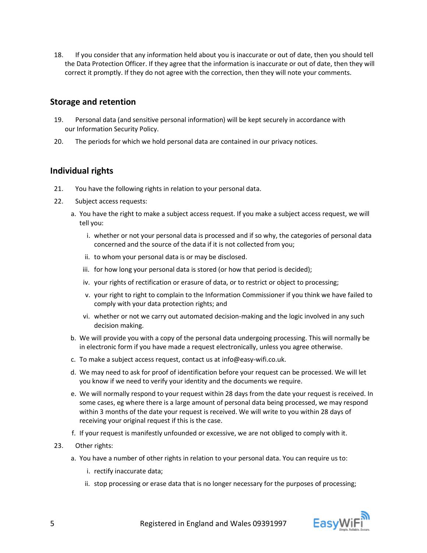18. If you consider that any information held about you is inaccurate or out of date, then you should tell the Data Protection Officer. If they agree that the information is inaccurate or out of date, then they will correct it promptly. If they do not agree with the correction, then they will note your comments.

### **Storage and retention**

- 19. Personal data (and sensitive personal information) will be kept securely in accordance with our Information Security Policy.
- 20. The periods for which we hold personal data are contained in our privacy notices.

## **Individual rights**

- 21. You have the following rights in relation to your personal data.
- 22. Subject access requests:
	- a. You have the right to make a subject access request. If you make a subject access request, we will tell you:
		- i. whether or not your personal data is processed and if so why, the categories of personal data concerned and the source of the data if it is not collected from you;
		- ii. to whom your personal data is or may be disclosed.
		- iii. for how long your personal data is stored (or how that period is decided);
		- iv. your rights of rectification or erasure of data, or to restrict or object to processing;
		- v. your right to right to complain to the Information Commissioner if you think we have failed to comply with your data protection rights; and
		- vi. whether or not we carry out automated decision-making and the logic involved in any such decision making.
	- b. We will provide you with a copy of the personal data undergoing processing. This will normally be in electronic form if you have made a request electronically, unless you agree otherwise.
	- c. To make a subject access request, contact us at info@easy-wifi.co.uk.
	- d. We may need to ask for proof of identification before your request can be processed. We will let you know if we need to verify your identity and the documents we require.
	- e. We will normally respond to your request within 28 days from the date your request is received. In some cases, eg where there is a large amount of personal data being processed, we may respond within 3 months of the date your request is received. We will write to you within 28 days of receiving your original request if this is the case.
	- f. If your request is manifestly unfounded or excessive, we are not obliged to comply with it.
- 23. Other rights:
	- a. You have a number of other rights in relation to your personal data. You can require us to:
		- i. rectify inaccurate data;
		- ii. stop processing or erase data that is no longer necessary for the purposes of processing;

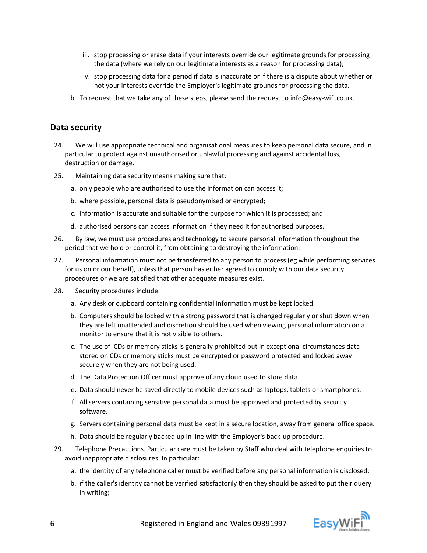- iii. stop processing or erase data if your interests override our legitimate grounds for processing the data (where we rely on our legitimate interests as a reason for processing data);
- iv. stop processing data for a period if data is inaccurate or if there is a dispute about whether or not your interests override the Employer's legitimate grounds for processing the data.
- b. To request that we take any of these steps, please send the request to info@easy-wifi.co.uk.

#### **Data security**

- 24. We will use appropriate technical and organisational measures to keep personal data secure, and in particular to protect against unauthorised or unlawful processing and against accidental loss, destruction or damage.
- 25. Maintaining data security means making sure that:
	- a. only people who are authorised to use the information can access it;
	- b. where possible, personal data is pseudonymised or encrypted;
	- c. information is accurate and suitable for the purpose for which it is processed; and
	- d. authorised persons can access information if they need it for authorised purposes.
- 26. By law, we must use procedures and technology to secure personal information throughout the period that we hold or control it, from obtaining to destroying the information.
- 27. Personal information must not be transferred to any person to process (eg while performing services for us on or our behalf), unless that person has either agreed to comply with our data security procedures or we are satisfied that other adequate measures exist.
- 28. Security procedures include:
	- a. Any desk or cupboard containing confidential information must be kept locked.
	- b. Computers should be locked with a strong password that is changed regularly or shut down when they are left unattended and discretion should be used when viewing personal information on a monitor to ensure that it is not visible to others.
	- c. The use of CDs or memory sticks is generally prohibited but in exceptional circumstances data stored on CDs or memory sticks must be encrypted or password protected and locked away securely when they are not being used.
	- d. The Data Protection Officer must approve of any cloud used to store data.
	- e. Data should never be saved directly to mobile devices such as laptops, tablets or smartphones.
	- f. All servers containing sensitive personal data must be approved and protected by security software.
	- g. Servers containing personal data must be kept in a secure location, away from general office space.
	- h. Data should be regularly backed up in line with the Employer's back-up procedure.
- 29. Telephone Precautions. Particular care must be taken by Staff who deal with telephone enquiries to avoid inappropriate disclosures. In particular:
	- a. the identity of any telephone caller must be verified before any personal information is disclosed;
	- b. if the caller's identity cannot be verified satisfactorily then they should be asked to put their query in writing;

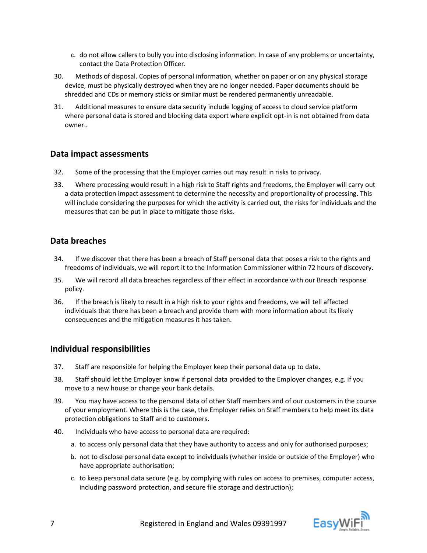- c. do not allow callers to bully you into disclosing information. In case of any problems or uncertainty, contact the Data Protection Officer.
- 30. Methods of disposal. Copies of personal information, whether on paper or on any physical storage device, must be physically destroyed when they are no longer needed. Paper documents should be shredded and CDs or memory sticks or similar must be rendered permanently unreadable.
- 31. Additional measures to ensure data security include logging of access to cloud service platform where personal data is stored and blocking data export where explicit opt-in is not obtained from data owner..

## **Data impact assessments**

- 32. Some of the processing that the Employer carries out may result in risks to privacy.
- 33. Where processing would result in a high risk to Staff rights and freedoms, the Employer will carry out a data protection impact assessment to determine the necessity and proportionality of processing. This will include considering the purposes for which the activity is carried out, the risks for individuals and the measures that can be put in place to mitigate those risks.

## **Data breaches**

- 34. If we discover that there has been a breach of Staff personal data that poses a risk to the rights and freedoms of individuals, we will report it to the Information Commissioner within 72 hours of discovery.
- 35. We will record all data breaches regardless of their effect in accordance with our Breach response policy.
- 36. If the breach is likely to result in a high risk to your rights and freedoms, we will tell affected individuals that there has been a breach and provide them with more information about its likely consequences and the mitigation measures it has taken.

## **Individual responsibilities**

- 37. Staff are responsible for helping the Employer keep their personal data up to date.
- 38. Staff should let the Employer know if personal data provided to the Employer changes, e.g. if you move to a new house or change your bank details.
- 39. You may have access to the personal data of other Staff members and of our customers in the course of your employment. Where this is the case, the Employer relies on Staff members to help meet its data protection obligations to Staff and to customers.
- 40. Individuals who have access to personal data are required:
	- a. to access only personal data that they have authority to access and only for authorised purposes;
	- b. not to disclose personal data except to individuals (whether inside or outside of the Employer) who have appropriate authorisation;
	- c. to keep personal data secure (e.g. by complying with rules on access to premises, computer access, including password protection, and secure file storage and destruction);